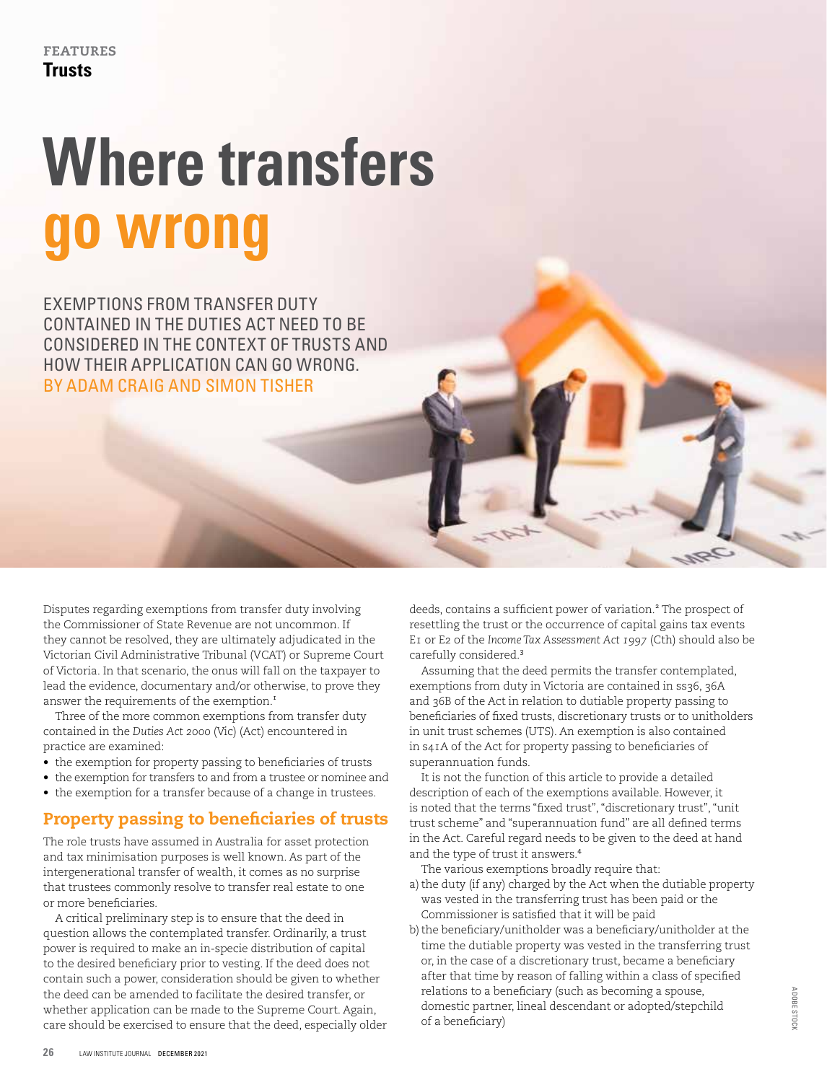# **Where transfers go wrong**

EXEMPTIONS FROM TRANSFER DUTY CONTAINED IN THE DUTIES ACT NEED TO BE CONSIDERED IN THE CONTEXT OF TRUSTS AND HOW THEIR APPLICATION CAN GO WRONG. BY ADAM CRAIG AND SIMON TISHER

Disputes regarding exemptions from transfer duty involving the Commissioner of State Revenue are not uncommon. If they cannot be resolved, they are ultimately adjudicated in the Victorian Civil Administrative Tribunal (VCAT) or Supreme Court of Victoria. In that scenario, the onus will fall on the taxpayer to lead the evidence, documentary and/or otherwise, to prove they answer the requirements of the exemption.<sup>1</sup>

Three of the more common exemptions from transfer duty contained in the *Duties Act 2000* (Vic) (Act) encountered in practice are examined:

- the exemption for property passing to beneficiaries of trusts
- the exemption for transfers to and from a trustee or nominee and
- the exemption for a transfer because of a change in trustees.

## Property passing to beneficiaries of trusts

The role trusts have assumed in Australia for asset protection and tax minimisation purposes is well known. As part of the intergenerational transfer of wealth, it comes as no surprise that trustees commonly resolve to transfer real estate to one or more beneficiaries.

A critical preliminary step is to ensure that the deed in question allows the contemplated transfer. Ordinarily, a trust power is required to make an in-specie distribution of capital to the desired beneficiary prior to vesting. If the deed does not contain such a power, consideration should be given to whether the deed can be amended to facilitate the desired transfer, or whether application can be made to the Supreme Court. Again, care should be exercised to ensure that the deed, especially older

deeds, contains a sufficient power of variation.<sup>2</sup> The prospect of resettling the trust or the occurrence of capital gains tax events E1 or E2 of the *Income Tax Assessment Act 1997* (Cth) should also be carefully considered.<sup>3</sup>

Assuming that the deed permits the transfer contemplated, exemptions from duty in Victoria are contained in ss36, 36A and 36B of the Act in relation to dutiable property passing to beneficiaries of fixed trusts, discretionary trusts or to unitholders in unit trust schemes (UTS). An exemption is also contained in s41A of the Act for property passing to beneficiaries of superannuation funds.

It is not the function of this article to provide a detailed description of each of the exemptions available. However, it is noted that the terms "fixed trust", "discretionary trust", "unit trust scheme" and "superannuation fund" are all defined terms in the Act. Careful regard needs to be given to the deed at hand and the type of trust it answers.<sup>4</sup>

The various exemptions broadly require that:

- a) the duty (if any) charged by the Act when the dutiable property was vested in the transferring trust has been paid or the Commissioner is satisfied that it will be paid
- b) the beneficiary/unitholder was a beneficiary/unitholder at the time the dutiable property was vested in the transferring trust or, in the case of a discretionary trust, became a beneficiary after that time by reason of falling within a class of specified relations to a beneficiary (such as becoming a spouse, domestic partner, lineal descendant or adopted/stepchild of a beneficiary)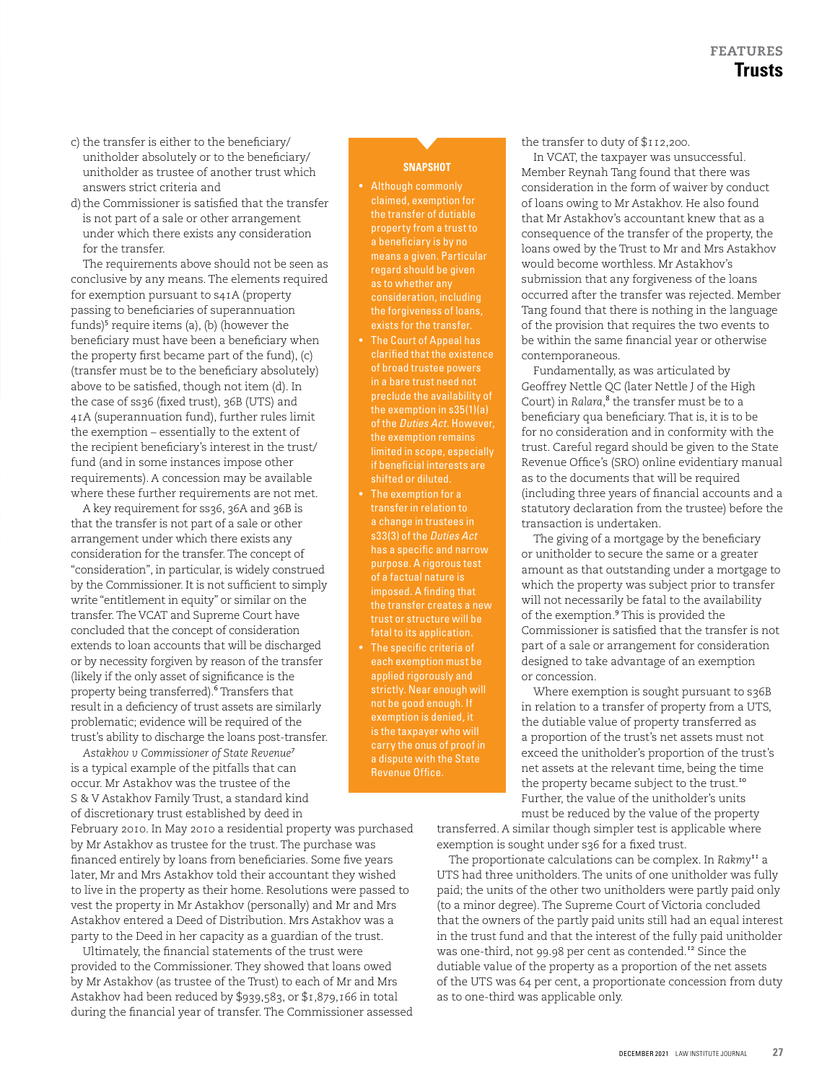- c) the transfer is either to the beneficiary/ unitholder absolutely or to the beneficiary/ unitholder as trustee of another trust which answers strict criteria and
- d) the Commissioner is satisfied that the transfer is not part of a sale or other arrangement under which there exists any consideration for the transfer.

The requirements above should not be seen as conclusive by any means. The elements required for exemption pursuant to s41A (property passing to beneficiaries of superannuation funds)<sup>5</sup> require items (a), (b) (however the beneficiary must have been a beneficiary when the property first became part of the fund), (c) (transfer must be to the beneficiary absolutely) above to be satisfied, though not item (d). In the case of ss36 (fixed trust), 36B (UTS) and 41A (superannuation fund), further rules limit the exemption – essentially to the extent of the recipient beneficiary's interest in the trust/ fund (and in some instances impose other requirements). A concession may be available where these further requirements are not met.

A key requirement for ss36, 36A and 36B is that the transfer is not part of a sale or other arrangement under which there exists any consideration for the transfer. The concept of "consideration", in particular, is widely construed by the Commissioner. It is not sufficient to simply write "entitlement in equity" or similar on the transfer. The VCAT and Supreme Court have concluded that the concept of consideration extends to loan accounts that will be discharged or by necessity forgiven by reason of the transfer (likely if the only asset of significance is the property being transferred).<sup>6</sup> Transfers that result in a deficiency of trust assets are similarly problematic; evidence will be required of the trust's ability to discharge the loans post-transfer.

*Astakhov v Commissioner of State Revenue*<sup>7</sup> is a typical example of the pitfalls that can occur. Mr Astakhov was the trustee of the S & V Astakhov Family Trust, a standard kind of discretionary trust established by deed in

February 2010. In May 2010 a residential property was purchased by Mr Astakhov as trustee for the trust. The purchase was financed entirely by loans from beneficiaries. Some five years later, Mr and Mrs Astakhov told their accountant they wished to live in the property as their home. Resolutions were passed to vest the property in Mr Astakhov (personally) and Mr and Mrs Astakhov entered a Deed of Distribution. Mrs Astakhov was a party to the Deed in her capacity as a guardian of the trust.

Ultimately, the financial statements of the trust were provided to the Commissioner. They showed that loans owed by Mr Astakhov (as trustee of the Trust) to each of Mr and Mrs Astakhov had been reduced by \$939,583, or \$1,879,166 in total during the financial year of transfer. The Commissioner assessed

### **SNAPSHOT**

▼

- Although commonly claimed, exemption for the transfer of dutiable property from a trust to a beneficiary is by no means a given. Particular regard should be given consideration, including the forgiveness of loans, exists for the transfer.
- The Court of Appeal has clarified that the existence in a bare trust need not preclude the availability of the exemption in s35(1)(a) of the *Duties Act*. However, the exemption remains limited in scope, especially if beneficial interests are shifted or diluted.
- The exemption for a transfer in relation to a change in trustees in s33(3) of the *Duties Act* has a specific and narrow purpose. A rigorous test of a factual nature is imposed. A finding that the transfer creates a new trust or structure will be fatal to its application.
- The specific criteria of each exemption must be applied rigorously and strictly. Near enough will not be good enough. If is the taxpayer who will carry the onus of proof in a dispute with the State Revenue Office.

the transfer to duty of \$112,200.

In VCAT, the taxpayer was unsuccessful. Member Reynah Tang found that there was consideration in the form of waiver by conduct of loans owing to Mr Astakhov. He also found that Mr Astakhov's accountant knew that as a consequence of the transfer of the property, the loans owed by the Trust to Mr and Mrs Astakhov would become worthless. Mr Astakhov's submission that any forgiveness of the loans occurred after the transfer was rejected. Member Tang found that there is nothing in the language of the provision that requires the two events to be within the same financial year or otherwise contemporaneous.

Fundamentally, as was articulated by Geoffrey Nettle QC (later Nettle J of the High Court) in *Ralara*,<sup>8</sup> the transfer must be to a beneficiary qua beneficiary. That is, it is to be for no consideration and in conformity with the trust. Careful regard should be given to the State Revenue Office's (SRO) online evidentiary manual as to the documents that will be required (including three years of financial accounts and a statutory declaration from the trustee) before the transaction is undertaken.

The giving of a mortgage by the beneficiary or unitholder to secure the same or a greater amount as that outstanding under a mortgage to which the property was subject prior to transfer will not necessarily be fatal to the availability of the exemption.<sup>9</sup> This is provided the Commissioner is satisfied that the transfer is not part of a sale or arrangement for consideration designed to take advantage of an exemption or concession.

Where exemption is sought pursuant to s36B in relation to a transfer of property from a UTS, the dutiable value of property transferred as a proportion of the trust's net assets must not exceed the unitholder's proportion of the trust's net assets at the relevant time, being the time the property became subject to the trust.<sup>10</sup> Further, the value of the unitholder's units must be reduced by the value of the property

transferred. A similar though simpler test is applicable where exemption is sought under s36 for a fixed trust.

The proportionate calculations can be complex. In *Rakmy*<sup>11</sup> a UTS had three unitholders. The units of one unitholder was fully paid; the units of the other two unitholders were partly paid only (to a minor degree). The Supreme Court of Victoria concluded that the owners of the partly paid units still had an equal interest in the trust fund and that the interest of the fully paid unitholder was one-third, not 99.98 per cent as contended.<sup>12</sup> Since the dutiable value of the property as a proportion of the net assets of the UTS was 64 per cent, a proportionate concession from duty as to one-third was applicable only.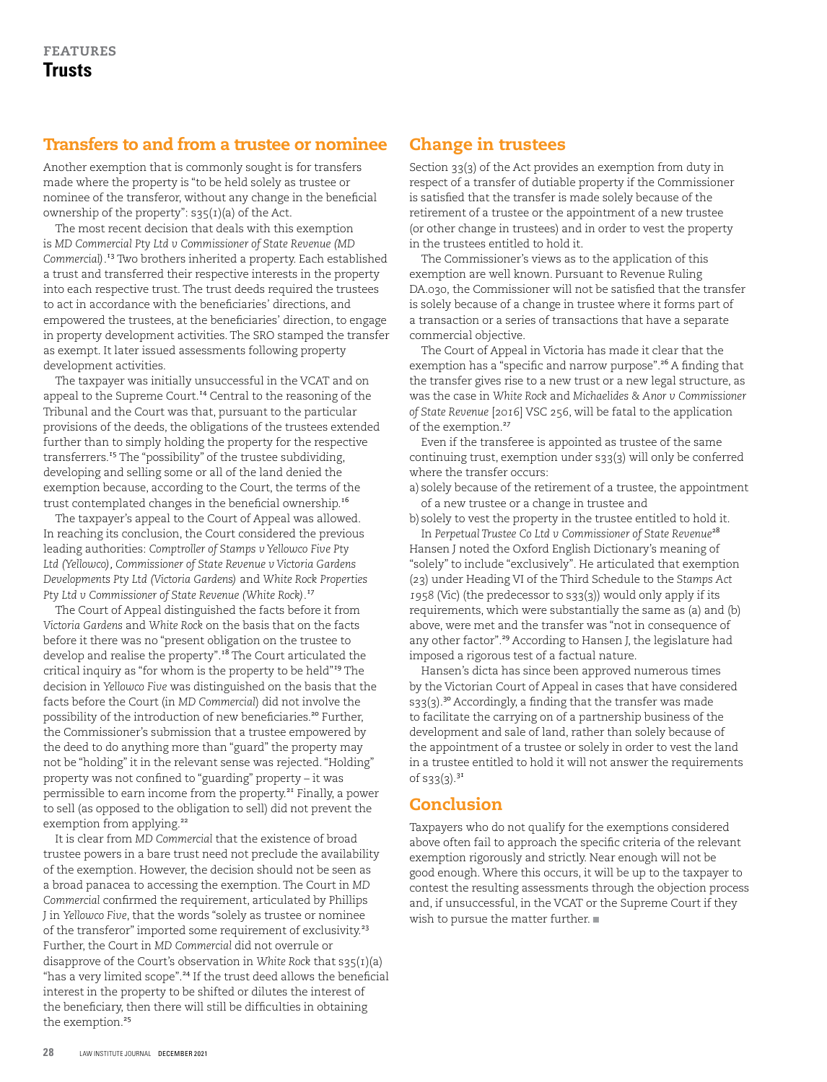## Transfers to and from a trustee or nominee

Another exemption that is commonly sought is for transfers made where the property is "to be held solely as trustee or nominee of the transferor, without any change in the beneficial ownership of the property":  $s_35(i)(a)$  of the Act.

The most recent decision that deals with this exemption is *MD Commercial Pty Ltd v Commissioner of State Revenue (MD Commercial)*. <sup>13</sup> Two brothers inherited a property. Each established a trust and transferred their respective interests in the property into each respective trust. The trust deeds required the trustees to act in accordance with the beneficiaries' directions, and empowered the trustees, at the beneficiaries' direction, to engage in property development activities. The SRO stamped the transfer as exempt. It later issued assessments following property development activities.

The taxpayer was initially unsuccessful in the VCAT and on appeal to the Supreme Court.<sup>14</sup> Central to the reasoning of the Tribunal and the Court was that, pursuant to the particular provisions of the deeds, the obligations of the trustees extended further than to simply holding the property for the respective transferrers.<sup>15</sup> The "possibility" of the trustee subdividing, developing and selling some or all of the land denied the exemption because, according to the Court, the terms of the trust contemplated changes in the beneficial ownership.<sup>16</sup>

The taxpayer's appeal to the Court of Appeal was allowed. In reaching its conclusion, the Court considered the previous leading authorities: *Comptroller of Stamps v Yellowco Five Pty Ltd (Yellowco), Commissioner of State Revenue v Victoria Gardens Developments Pty Ltd (Victoria Gardens)* and *White Rock Properties Pty Ltd v Commissioner of State Revenue (White Rock)*. 17

The Court of Appeal distinguished the facts before it from *Victoria Gardens* and *White Rock* on the basis that on the facts before it there was no "present obligation on the trustee to develop and realise the property".<sup>18</sup> The Court articulated the critical inquiry as "for whom is the property to be held"<sup>19</sup> The decision in *Yellowco Five* was distinguished on the basis that the facts before the Court (in *MD Commercial*) did not involve the possibility of the introduction of new beneficiaries.<sup>20</sup> Further, the Commissioner's submission that a trustee empowered by the deed to do anything more than "guard" the property may not be "holding" it in the relevant sense was rejected. "Holding" property was not confined to "guarding" property – it was permissible to earn income from the property.<sup>21</sup> Finally, a power to sell (as opposed to the obligation to sell) did not prevent the exemption from applying.<sup>22</sup>

It is clear from *MD Commercial* that the existence of broad trustee powers in a bare trust need not preclude the availability of the exemption. However, the decision should not be seen as a broad panacea to accessing the exemption. The Court in *MD Commercial* confirmed the requirement, articulated by Phillips J in *Yellowco Five*, that the words "solely as trustee or nominee of the transferor" imported some requirement of exclusivity.<sup>23</sup> Further, the Court in *MD Commercial* did not overrule or disapprove of the Court's observation in *White Rock* that s35(1)(a) "has a very limited scope".<sup>24</sup> If the trust deed allows the beneficial interest in the property to be shifted or dilutes the interest of the beneficiary, then there will still be difficulties in obtaining the exemption.<sup>25</sup>

## Change in trustees

Section 33(3) of the Act provides an exemption from duty in respect of a transfer of dutiable property if the Commissioner is satisfied that the transfer is made solely because of the retirement of a trustee or the appointment of a new trustee (or other change in trustees) and in order to vest the property in the trustees entitled to hold it.

The Commissioner's views as to the application of this exemption are well known. Pursuant to Revenue Ruling DA.030, the Commissioner will not be satisfied that the transfer is solely because of a change in trustee where it forms part of a transaction or a series of transactions that have a separate commercial objective.

The Court of Appeal in Victoria has made it clear that the exemption has a "specific and narrow purpose".<sup>26</sup> A finding that the transfer gives rise to a new trust or a new legal structure, as was the case in *White Rock* and *Michaelides & Anor v Commissioner of State Revenue* [2016] VSC 256, will be fatal to the application of the exemption.<sup>27</sup>

Even if the transferee is appointed as trustee of the same continuing trust, exemption under s33(3) will only be conferred where the transfer occurs:

a) solely because of the retirement of a trustee, the appointment of a new trustee or a change in trustee and

b) solely to vest the property in the trustee entitled to hold it. In *Perpetual Trustee Co Ltd v Commissioner of State Revenue*<sup>28</sup> Hansen J noted the Oxford English Dictionary's meaning of "solely" to include "exclusively". He articulated that exemption (23) under Heading VI of the Third Schedule to the *Stamps Act 1958* (Vic) (the predecessor to s33(3)) would only apply if its requirements, which were substantially the same as (a) and (b) above, were met and the transfer was "not in consequence of any other factor".<sup>29</sup> According to Hansen J, the legislature had imposed a rigorous test of a factual nature.

Hansen's dicta has since been approved numerous times by the Victorian Court of Appeal in cases that have considered  $s_3$ 3(3).<sup>30</sup> Accordingly, a finding that the transfer was made to facilitate the carrying on of a partnership business of the development and sale of land, rather than solely because of the appointment of a trustee or solely in order to vest the land in a trustee entitled to hold it will not answer the requirements of  $s33(3)$ .<sup>31</sup>

## Conclusion

Taxpayers who do not qualify for the exemptions considered above often fail to approach the specific criteria of the relevant exemption rigorously and strictly. Near enough will not be good enough. Where this occurs, it will be up to the taxpayer to contest the resulting assessments through the objection process and, if unsuccessful, in the VCAT or the Supreme Court if they wish to pursue the matter further. ■